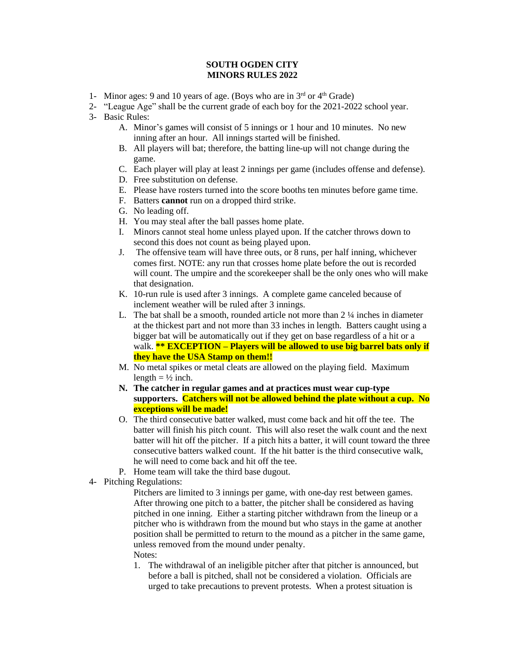## **SOUTH OGDEN CITY MINORS RULES 2022**

- 1- Minor ages: 9 and 10 years of age. (Boys who are in  $3<sup>rd</sup>$  or  $4<sup>th</sup>$  Grade)
- 2- "League Age" shall be the current grade of each boy for the 2021-2022 school year.
- 3- Basic Rules:
	- A. Minor's games will consist of 5 innings or 1 hour and 10 minutes. No new inning after an hour. All innings started will be finished.
	- B. All players will bat; therefore, the batting line-up will not change during the game.
	- C. Each player will play at least 2 innings per game (includes offense and defense).
	- D. Free substitution on defense.
	- E. Please have rosters turned into the score booths ten minutes before game time.
	- F. Batters **cannot** run on a dropped third strike.
	- G. No leading off.
	- H. You may steal after the ball passes home plate.
	- I. Minors cannot steal home unless played upon. If the catcher throws down to second this does not count as being played upon.
	- J. The offensive team will have three outs, or 8 runs, per half inning, whichever comes first. NOTE: any run that crosses home plate before the out is recorded will count. The umpire and the scorekeeper shall be the only ones who will make that designation.
	- K. 10-run rule is used after 3 innings. A complete game canceled because of inclement weather will be ruled after 3 innings.
	- L. The bat shall be a smooth, rounded article not more than 2 ¼ inches in diameter at the thickest part and not more than 33 inches in length. Batters caught using a bigger bat will be automatically out if they get on base regardless of a hit or a walk. **\*\* EXCEPTION – Players will be allowed to use big barrel bats only if they have the USA Stamp on them!!**
	- M. No metal spikes or metal cleats are allowed on the playing field. Maximum length  $= \frac{1}{2}$  inch.
	- **N. The catcher in regular games and at practices must wear cup-type supporters. Catchers will not be allowed behind the plate without a cup. No exceptions will be made!**
	- O. The third consecutive batter walked, must come back and hit off the tee. The batter will finish his pitch count. This will also reset the walk count and the next batter will hit off the pitcher. If a pitch hits a batter, it will count toward the three consecutive batters walked count. If the hit batter is the third consecutive walk, he will need to come back and hit off the tee.
	- P. Home team will take the third base dugout.
- 4- Pitching Regulations:

Pitchers are limited to 3 innings per game, with one-day rest between games. After throwing one pitch to a batter, the pitcher shall be considered as having pitched in one inning. Either a starting pitcher withdrawn from the lineup or a pitcher who is withdrawn from the mound but who stays in the game at another position shall be permitted to return to the mound as a pitcher in the same game, unless removed from the mound under penalty. Notes:

1. The withdrawal of an ineligible pitcher after that pitcher is announced, but before a ball is pitched, shall not be considered a violation. Officials are urged to take precautions to prevent protests. When a protest situation is